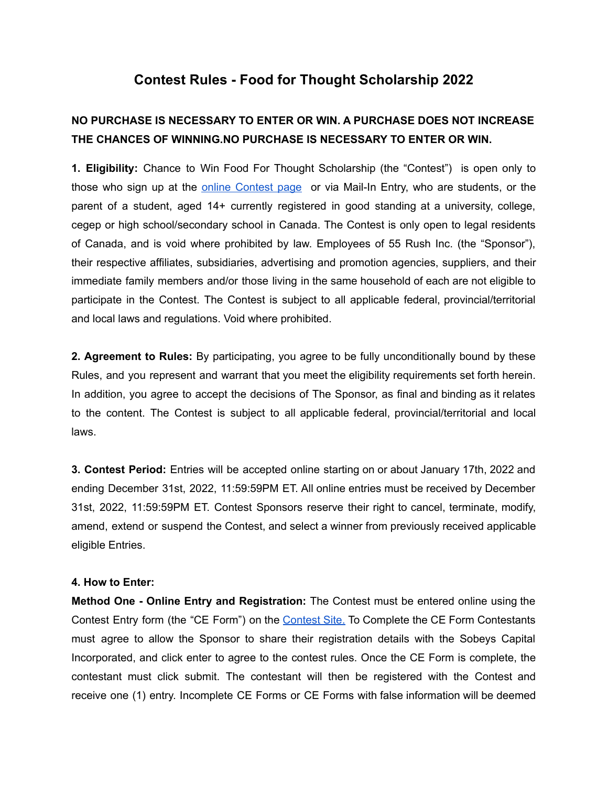## **Contest Rules - Food for Thought Scholarship 2022**

## **NO PURCHASE IS NECESSARY TO ENTER OR WIN. A PURCHASE DOES NOT INCREASE THE CHANCES OF WINNING.NO PURCHASE IS NECESSARY TO ENTER OR WIN.**

**1. Eligibility:** Chance to Win Food For Thought Scholarship (the "Contest") is open only to those who sign up at the online [Contest](https://survey.alchemer-ca.com/s3/50101278/yconic-Sobeys-Food-for-Thought) page or via Mail-In Entry, who are students, or the parent of a student, aged 14+ currently registered in good standing at a university, college, cegep or high school/secondary school in Canada. The Contest is only open to legal residents of Canada, and is void where prohibited by law. Employees of 55 Rush Inc. (the "Sponsor"), their respective affiliates, subsidiaries, advertising and promotion agencies, suppliers, and their immediate family members and/or those living in the same household of each are not eligible to participate in the Contest. The Contest is subject to all applicable federal, provincial/territorial and local laws and regulations. Void where prohibited.

**2. Agreement to Rules:** By participating, you agree to be fully unconditionally bound by these Rules, and you represent and warrant that you meet the eligibility requirements set forth herein. In addition, you agree to accept the decisions of The Sponsor, as final and binding as it relates to the content. The Contest is subject to all applicable federal, provincial/territorial and local laws.

**3. Contest Period:** Entries will be accepted online starting on or about January 17th, 2022 and ending December 31st, 2022, 11:59:59PM ET. All online entries must be received by December 31st, 2022, 11:59:59PM ET. Contest Sponsors reserve their right to cancel, terminate, modify, amend, extend or suspend the Contest, and select a winner from previously received applicable eligible Entries.

## **4. How to Enter:**

**Method One - Online Entry and Registration:** The Contest must be entered online using the Contest Entry form (the "CE Form") on the [Contest](https://survey.alchemer-ca.com/s3/50101278/yconic-Sobeys-Food-for-Thought) Site. To Complete the CE Form Contestants must agree to allow the Sponsor to share their registration details with the Sobeys Capital Incorporated, and click enter to agree to the contest rules. Once the CE Form is complete, the contestant must click submit. The contestant will then be registered with the Contest and receive one (1) entry. Incomplete CE Forms or CE Forms with false information will be deemed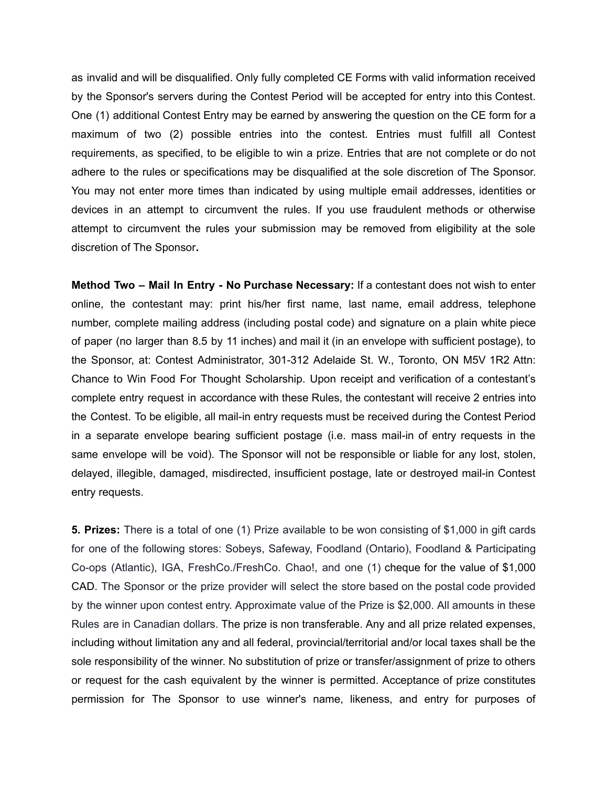as invalid and will be disqualified. Only fully completed CE Forms with valid information received by the Sponsor's servers during the Contest Period will be accepted for entry into this Contest. One (1) additional Contest Entry may be earned by answering the question on the CE form for a maximum of two (2) possible entries into the contest. Entries must fulfill all Contest requirements, as specified, to be eligible to win a prize. Entries that are not complete or do not adhere to the rules or specifications may be disqualified at the sole discretion of The Sponsor. You may not enter more times than indicated by using multiple email addresses, identities or devices in an attempt to circumvent the rules. If you use fraudulent methods or otherwise attempt to circumvent the rules your submission may be removed from eligibility at the sole discretion of The Sponsor**.**

**Method Two – Mail In Entry - No Purchase Necessary:** If a contestant does not wish to enter online, the contestant may: print his/her first name, last name, email address, telephone number, complete mailing address (including postal code) and signature on a plain white piece of paper (no larger than 8.5 by 11 inches) and mail it (in an envelope with sufficient postage), to the Sponsor, at: Contest Administrator, 301-312 Adelaide St. W., Toronto, ON M5V 1R2 Attn: Chance to Win Food For Thought Scholarship. Upon receipt and verification of a contestant's complete entry request in accordance with these Rules, the contestant will receive 2 entries into the Contest. To be eligible, all mail-in entry requests must be received during the Contest Period in a separate envelope bearing sufficient postage (i.e. mass mail-in of entry requests in the same envelope will be void). The Sponsor will not be responsible or liable for any lost, stolen, delayed, illegible, damaged, misdirected, insufficient postage, late or destroyed mail-in Contest entry requests.

**5. Prizes:** There is a total of one (1) Prize available to be won consisting of \$1,000 in gift cards for one of the following stores: Sobeys, Safeway, Foodland (Ontario), Foodland & Participating Co-ops (Atlantic), IGA, FreshCo./FreshCo. Chao!, and one (1) cheque for the value of \$1,000 CAD. The Sponsor or the prize provider will select the store based on the postal code provided by the winner upon contest entry. Approximate value of the Prize is \$2,000. All amounts in these Rules are in Canadian dollars. The prize is non transferable. Any and all prize related expenses, including without limitation any and all federal, provincial/territorial and/or local taxes shall be the sole responsibility of the winner. No substitution of prize or transfer/assignment of prize to others or request for the cash equivalent by the winner is permitted. Acceptance of prize constitutes permission for The Sponsor to use winner's name, likeness, and entry for purposes of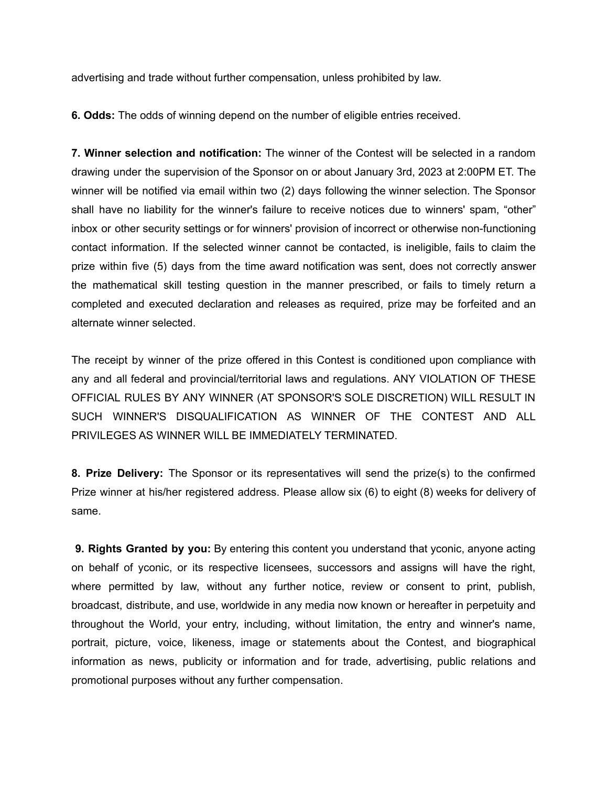advertising and trade without further compensation, unless prohibited by law.

**6. Odds:** The odds of winning depend on the number of eligible entries received.

**7. Winner selection and notification:** The winner of the Contest will be selected in a random drawing under the supervision of the Sponsor on or about January 3rd, 2023 at 2:00PM ET. The winner will be notified via email within two (2) days following the winner selection. The Sponsor shall have no liability for the winner's failure to receive notices due to winners' spam, "other" inbox or other security settings or for winners' provision of incorrect or otherwise non-functioning contact information. If the selected winner cannot be contacted, is ineligible, fails to claim the prize within five (5) days from the time award notification was sent, does not correctly answer the mathematical skill testing question in the manner prescribed, or fails to timely return a completed and executed declaration and releases as required, prize may be forfeited and an alternate winner selected.

The receipt by winner of the prize offered in this Contest is conditioned upon compliance with any and all federal and provincial/territorial laws and regulations. ANY VIOLATION OF THESE OFFICIAL RULES BY ANY WINNER (AT SPONSOR'S SOLE DISCRETION) WILL RESULT IN SUCH WINNER'S DISQUALIFICATION AS WINNER OF THE CONTEST AND ALL PRIVILEGES AS WINNER WILL BE IMMEDIATELY TERMINATED.

**8. Prize Delivery:** The Sponsor or its representatives will send the prize(s) to the confirmed Prize winner at his/her registered address. Please allow six (6) to eight (8) weeks for delivery of same.

**9. Rights Granted by you:** By entering this content you understand that yconic, anyone acting on behalf of yconic, or its respective licensees, successors and assigns will have the right, where permitted by law, without any further notice, review or consent to print, publish, broadcast, distribute, and use, worldwide in any media now known or hereafter in perpetuity and throughout the World, your entry, including, without limitation, the entry and winner's name, portrait, picture, voice, likeness, image or statements about the Contest, and biographical information as news, publicity or information and for trade, advertising, public relations and promotional purposes without any further compensation.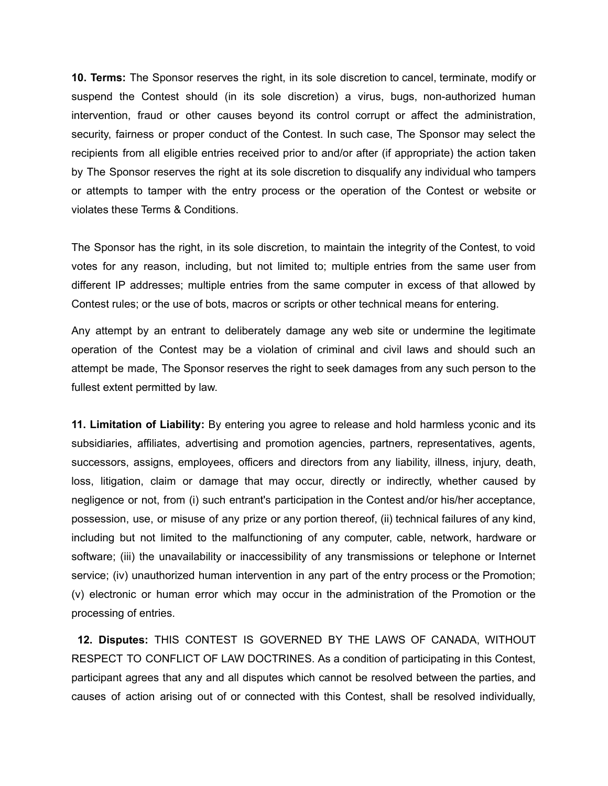**10. Terms:** The Sponsor reserves the right, in its sole discretion to cancel, terminate, modify or suspend the Contest should (in its sole discretion) a virus, bugs, non-authorized human intervention, fraud or other causes beyond its control corrupt or affect the administration, security, fairness or proper conduct of the Contest. In such case, The Sponsor may select the recipients from all eligible entries received prior to and/or after (if appropriate) the action taken by The Sponsor reserves the right at its sole discretion to disqualify any individual who tampers or attempts to tamper with the entry process or the operation of the Contest or website or violates these Terms & Conditions.

The Sponsor has the right, in its sole discretion, to maintain the integrity of the Contest, to void votes for any reason, including, but not limited to; multiple entries from the same user from different IP addresses; multiple entries from the same computer in excess of that allowed by Contest rules; or the use of bots, macros or scripts or other technical means for entering.

Any attempt by an entrant to deliberately damage any web site or undermine the legitimate operation of the Contest may be a violation of criminal and civil laws and should such an attempt be made, The Sponsor reserves the right to seek damages from any such person to the fullest extent permitted by law.

**11. Limitation of Liability:** By entering you agree to release and hold harmless yconic and its subsidiaries, affiliates, advertising and promotion agencies, partners, representatives, agents, successors, assigns, employees, officers and directors from any liability, illness, injury, death, loss, litigation, claim or damage that may occur, directly or indirectly, whether caused by negligence or not, from (i) such entrant's participation in the Contest and/or his/her acceptance, possession, use, or misuse of any prize or any portion thereof, (ii) technical failures of any kind, including but not limited to the malfunctioning of any computer, cable, network, hardware or software; (iii) the unavailability or inaccessibility of any transmissions or telephone or Internet service; (iv) unauthorized human intervention in any part of the entry process or the Promotion; (v) electronic or human error which may occur in the administration of the Promotion or the processing of entries.

**12. Disputes:** THIS CONTEST IS GOVERNED BY THE LAWS OF CANADA, WITHOUT RESPECT TO CONFLICT OF LAW DOCTRINES. As a condition of participating in this Contest, participant agrees that any and all disputes which cannot be resolved between the parties, and causes of action arising out of or connected with this Contest, shall be resolved individually,